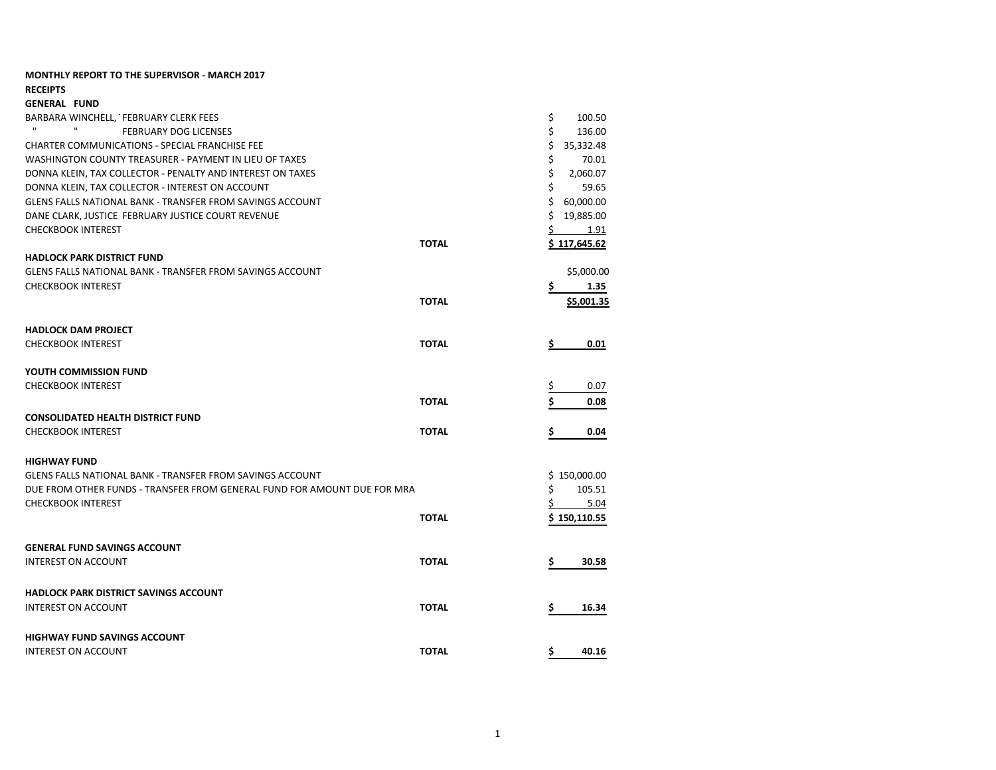| <b>MONTHLY REPORT TO THE SUPERVISOR - MARCH 2017</b>                            |              |                              |
|---------------------------------------------------------------------------------|--------------|------------------------------|
| <b>RECEIPTS</b>                                                                 |              |                              |
| <b>GENERAL FUND</b>                                                             |              |                              |
| BARBARA WINCHELL, FEBRUARY CLERK FEES<br>$\mathbf{H}$<br>$\mathbf{H}$           |              | \$<br>100.50<br>\$<br>136.00 |
| <b>FEBRUARY DOG LICENSES</b>                                                    |              |                              |
| <b>CHARTER COMMUNICATIONS - SPECIAL FRANCHISE FEE</b>                           |              | \$<br>35,332.48              |
| WASHINGTON COUNTY TREASURER - PAYMENT IN LIEU OF TAXES                          |              | \$<br>70.01<br>\$            |
| DONNA KLEIN, TAX COLLECTOR - PENALTY AND INTEREST ON TAXES                      |              | 2,060.07<br>59.65            |
| DONNA KLEIN, TAX COLLECTOR - INTEREST ON ACCOUNT                                |              | \$<br>\$                     |
| GLENS FALLS NATIONAL BANK - TRANSFER FROM SAVINGS ACCOUNT                       |              | 60,000.00<br>\$              |
| DANE CLARK, JUSTICE FEBRUARY JUSTICE COURT REVENUE<br><b>CHECKBOOK INTEREST</b> |              | 19,885.00<br>$\mathsf{\$}$   |
|                                                                                 | <b>TOTAL</b> | 1.91                         |
| <b>HADLOCK PARK DISTRICT FUND</b>                                               |              | \$117,645.62                 |
| GLENS FALLS NATIONAL BANK - TRANSFER FROM SAVINGS ACCOUNT                       |              |                              |
| <b>CHECKBOOK INTEREST</b>                                                       |              | \$5,000.00<br>\$             |
|                                                                                 |              | 1.35                         |
|                                                                                 | <b>TOTAL</b> | \$5,001.35                   |
| <b>HADLOCK DAM PROJECT</b>                                                      |              |                              |
| <b>CHECKBOOK INTEREST</b>                                                       | <b>TOTAL</b> | 0.01                         |
| YOUTH COMMISSION FUND                                                           |              |                              |
| <b>CHECKBOOK INTEREST</b>                                                       |              | 0.07<br>Ş                    |
|                                                                                 | <b>TOTAL</b> | \$<br>0.08                   |
| <b>CONSOLIDATED HEALTH DISTRICT FUND</b>                                        |              |                              |
| <b>CHECKBOOK INTEREST</b>                                                       | <b>TOTAL</b> | \$<br>0.04                   |
|                                                                                 |              |                              |
| <b>HIGHWAY FUND</b>                                                             |              |                              |
| GLENS FALLS NATIONAL BANK - TRANSFER FROM SAVINGS ACCOUNT                       |              | \$150,000.00                 |
| DUE FROM OTHER FUNDS - TRANSFER FROM GENERAL FUND FOR AMOUNT DUE FOR MRA        |              | 105.51<br>\$                 |
| <b>CHECKBOOK INTEREST</b>                                                       | <b>TOTAL</b> | 5.04<br>S.                   |
|                                                                                 |              | \$150,110.55                 |
| <b>GENERAL FUND SAVINGS ACCOUNT</b>                                             |              |                              |
| <b>INTEREST ON ACCOUNT</b>                                                      | <b>TOTAL</b> | \$<br>30.58                  |
|                                                                                 |              |                              |
| HADLOCK PARK DISTRICT SAVINGS ACCOUNT                                           |              |                              |
| <b>INTEREST ON ACCOUNT</b>                                                      | <b>TOTAL</b> | \$<br>16.34                  |
| <b>HIGHWAY FUND SAVINGS ACCOUNT</b>                                             |              |                              |
| <b>INTEREST ON ACCOUNT</b>                                                      | <b>TOTAL</b> | \$<br>40.16                  |
|                                                                                 |              |                              |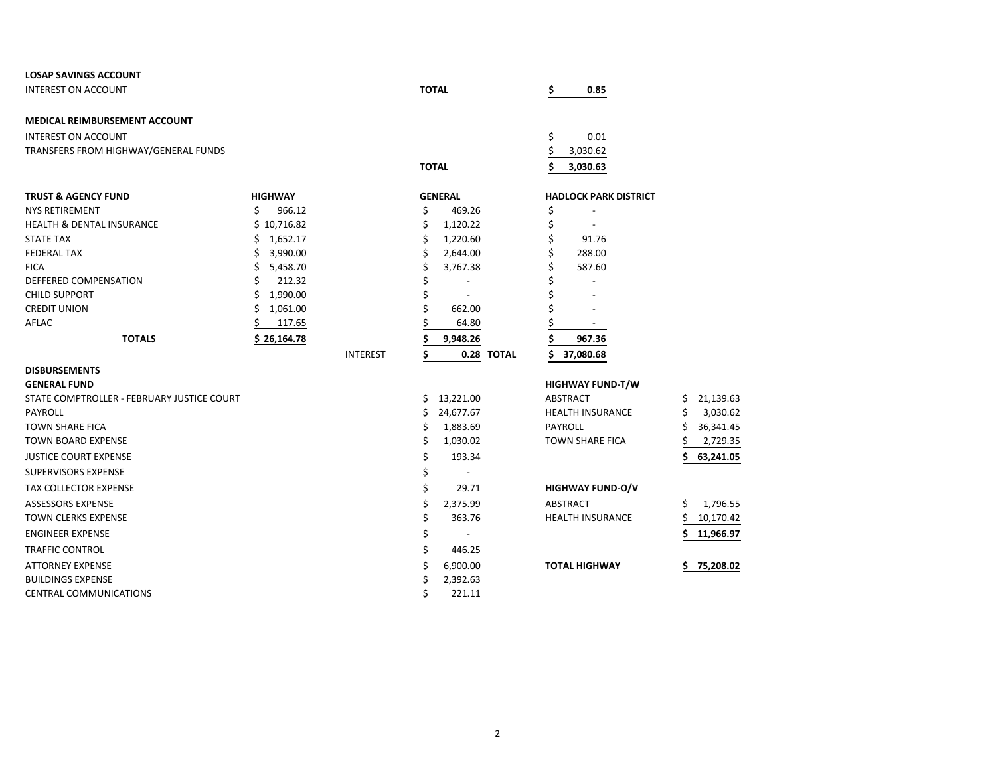| <b>LOSAP SAVINGS ACCOUNT</b>               |                |                 |              |                          |    |                              |     |           |
|--------------------------------------------|----------------|-----------------|--------------|--------------------------|----|------------------------------|-----|-----------|
| <b>INTEREST ON ACCOUNT</b>                 |                |                 | <b>TOTAL</b> |                          | s  | 0.85                         |     |           |
| MEDICAL REIMBURSEMENT ACCOUNT              |                |                 |              |                          |    |                              |     |           |
| <b>INTEREST ON ACCOUNT</b>                 |                |                 |              |                          | \$ | 0.01                         |     |           |
| TRANSFERS FROM HIGHWAY/GENERAL FUNDS       |                |                 |              |                          | Ş  | 3,030.62                     |     |           |
|                                            |                |                 | <b>TOTAL</b> |                          | Ś. | 3,030.63                     |     |           |
| <b>TRUST &amp; AGENCY FUND</b>             | <b>HIGHWAY</b> |                 |              | <b>GENERAL</b>           |    | <b>HADLOCK PARK DISTRICT</b> |     |           |
| <b>NYS RETIREMENT</b>                      | Ś<br>966.12    |                 | \$           | 469.26                   | \$ |                              |     |           |
| <b>HEALTH &amp; DENTAL INSURANCE</b>       | \$10,716.82    |                 | \$           | 1,120.22                 | \$ |                              |     |           |
| <b>STATE TAX</b>                           | \$<br>1,652.17 |                 | \$           | 1,220.60                 | \$ | 91.76                        |     |           |
| <b>FEDERAL TAX</b>                         | 3,990.00<br>\$ |                 | Ś            | 2,644.00                 | \$ | 288.00                       |     |           |
| <b>FICA</b>                                | 5,458.70<br>\$ |                 |              | 3,767.38                 |    | 587.60                       |     |           |
| DEFFERED COMPENSATION                      | 212.32         |                 |              |                          |    |                              |     |           |
| <b>CHILD SUPPORT</b>                       | 1,990.00<br>\$ |                 | \$           | $\overline{a}$           |    |                              |     |           |
| <b>CREDIT UNION</b>                        | 1,061.00<br>Ś  |                 |              | 662.00                   |    |                              |     |           |
| AFLAC                                      | 117.65         |                 |              | 64.80                    |    |                              |     |           |
| <b>TOTALS</b>                              | \$26,164.78    |                 |              | 9,948.26                 |    | 967.36                       |     |           |
|                                            |                | <b>INTEREST</b> | Ś            | 0.28 TOTAL               | Ś  | 37,080.68                    |     |           |
| <b>DISBURSEMENTS</b>                       |                |                 |              |                          |    |                              |     |           |
| <b>GENERAL FUND</b>                        |                |                 |              |                          |    | <b>HIGHWAY FUND-T/W</b>      |     |           |
| STATE COMPTROLLER - FEBRUARY JUSTICE COURT |                |                 |              | \$13,221.00              |    | ABSTRACT                     | \$. | 21,139.63 |
| <b>PAYROLL</b>                             |                |                 | Ś.           | 24,677.67                |    | <b>HEALTH INSURANCE</b>      | S   | 3,030.62  |
| <b>TOWN SHARE FICA</b>                     |                |                 | Ś            | 1,883.69                 |    | <b>PAYROLL</b>               | Ś   | 36,341.45 |
| <b>TOWN BOARD EXPENSE</b>                  |                |                 | \$           | 1,030.02                 |    | <b>TOWN SHARE FICA</b>       |     | 2,729.35  |
| <b>JUSTICE COURT EXPENSE</b>               |                |                 | \$           | 193.34                   |    |                              |     | 63,241.05 |
| <b>SUPERVISORS EXPENSE</b>                 |                |                 | \$           |                          |    |                              |     |           |
| TAX COLLECTOR EXPENSE                      |                |                 | \$           | 29.71                    |    | <b>HIGHWAY FUND-O/V</b>      |     |           |
| <b>ASSESSORS EXPENSE</b>                   |                |                 | Ś            | 2,375.99                 |    | ABSTRACT                     | \$  | 1,796.55  |
| <b>TOWN CLERKS EXPENSE</b>                 |                |                 | \$           | 363.76                   |    | <b>HEALTH INSURANCE</b>      |     | 10,170.42 |
| <b>ENGINEER EXPENSE</b>                    |                |                 | \$           | $\overline{\phantom{a}}$ |    |                              |     | 11,966.97 |
| <b>TRAFFIC CONTROL</b>                     |                |                 | \$           | 446.25                   |    |                              |     |           |
| <b>ATTORNEY EXPENSE</b>                    |                |                 |              | 6,900.00                 |    | <b>TOTAL HIGHWAY</b>         |     | 75,208.02 |
| <b>BUILDINGS EXPENSE</b>                   |                |                 |              | 2,392.63                 |    |                              |     |           |
| CENTRAL COMMUNICATIONS                     |                |                 | Ś            | 221.11                   |    |                              |     |           |

| <b>HWAY FUND-T/W</b>  |    |           |
|-----------------------|----|-----------|
| TRACT                 |    | \$21,139. |
| <b>ILTH INSURANCE</b> | S. | 3,030.    |
| <b>ROLL</b>           | S. | 36,341.   |
| VN SHARE FICA         | S. | 2,729.    |
|                       |    | 63,241.   |
|                       |    |           |
|                       |    |           |

|                  | \$11,966. |
|------------------|-----------|
| HEALTH INSURANCE | \$10,170. |
| ABSTRACT         | 1,796.    |
|                  |           |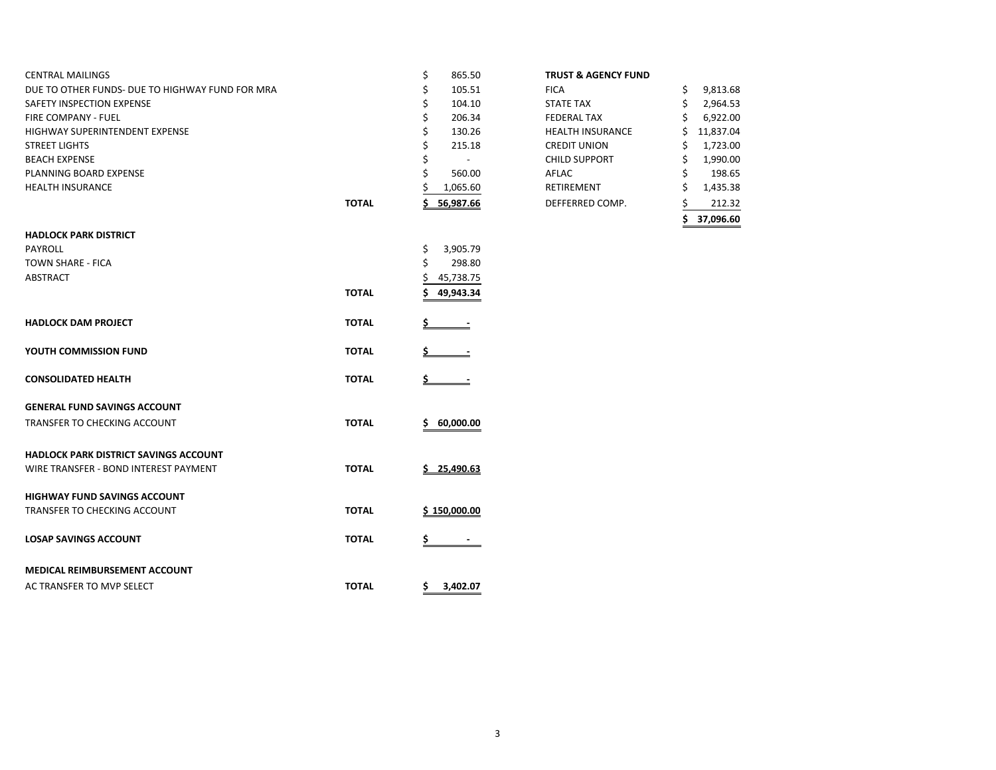| <b>CENTRAL MAILINGS</b>                         |              | \$<br>865.50    | <b>TRUST &amp; AGENCY FUND</b> |                |
|-------------------------------------------------|--------------|-----------------|--------------------------------|----------------|
| DUE TO OTHER FUNDS- DUE TO HIGHWAY FUND FOR MRA |              | \$<br>105.51    | <b>FICA</b>                    | \$<br>9,813.68 |
| SAFETY INSPECTION EXPENSE                       |              | Ś<br>104.10     | <b>STATE TAX</b>               | \$<br>2,964.53 |
| FIRE COMPANY - FUEL                             |              | \$<br>206.34    | <b>FEDERAL TAX</b>             | 6,922.00       |
| HIGHWAY SUPERINTENDENT EXPENSE                  |              | \$<br>130.26    | <b>HEALTH INSURANCE</b>        | Ś<br>11,837.04 |
| <b>STREET LIGHTS</b>                            |              | \$<br>215.18    | <b>CREDIT UNION</b>            | 1,723.00       |
| <b>BEACH EXPENSE</b>                            |              | $\blacksquare$  | <b>CHILD SUPPORT</b>           | 1,990.00       |
| PLANNING BOARD EXPENSE                          |              | 560.00          | AFLAC                          | 198.65         |
| <b>HEALTH INSURANCE</b>                         |              | 1,065.60        | RETIREMENT                     | 1,435.38       |
|                                                 | <b>TOTAL</b> | 56,987.66       | DEFFERRED COMP.                | 212.32         |
|                                                 |              |                 |                                | 37,096.60      |
| <b>HADLOCK PARK DISTRICT</b>                    |              |                 |                                |                |
| <b>PAYROLL</b>                                  |              | \$<br>3,905.79  |                                |                |
| <b>TOWN SHARE - FICA</b>                        |              | Ś<br>298.80     |                                |                |
| <b>ABSTRACT</b>                                 |              | 45,738.75       |                                |                |
|                                                 | <b>TOTAL</b> | 49,943.34       |                                |                |
|                                                 |              |                 |                                |                |
| <b>HADLOCK DAM PROJECT</b>                      | <b>TOTAL</b> |                 |                                |                |
| YOUTH COMMISSION FUND                           | <b>TOTAL</b> |                 |                                |                |
|                                                 |              |                 |                                |                |
| <b>CONSOLIDATED HEALTH</b>                      | <b>TOTAL</b> |                 |                                |                |
| <b>GENERAL FUND SAVINGS ACCOUNT</b>             |              |                 |                                |                |
| TRANSFER TO CHECKING ACCOUNT                    | <b>TOTAL</b> | 60,000.00<br>S. |                                |                |
|                                                 |              |                 |                                |                |
| <b>HADLOCK PARK DISTRICT SAVINGS ACCOUNT</b>    |              |                 |                                |                |
| WIRE TRANSFER - BOND INTEREST PAYMENT           | <b>TOTAL</b> | 25,490.63       |                                |                |
|                                                 |              |                 |                                |                |
| <b>HIGHWAY FUND SAVINGS ACCOUNT</b>             |              |                 |                                |                |
| TRANSFER TO CHECKING ACCOUNT                    | <b>TOTAL</b> | \$150,000.00    |                                |                |
| <b>LOSAP SAVINGS ACCOUNT</b>                    | <b>TOTAL</b> |                 |                                |                |
|                                                 |              | Ş               |                                |                |
| MEDICAL REIMBURSEMENT ACCOUNT                   |              |                 |                                |                |
| AC TRANSFER TO MVP SELECT                       | <b>TOTAL</b> | \$3,402.07      |                                |                |
|                                                 |              |                 |                                |                |

|       |              |                                | 37,096.60       |
|-------|--------------|--------------------------------|-----------------|
| TOTAL | 56,987.66    | DEFFERRED COMP.                | 212.32          |
|       | 1,065.60     | <b>RETIREMENT</b>              | \$<br>1,435.38  |
|       | 560.00       | AFLAC                          | \$<br>198.65    |
|       | \$           | <b>CHILD SUPPORT</b>           | \$<br>1,990.00  |
|       | \$<br>215.18 | <b>CREDIT UNION</b>            | \$<br>1,723.00  |
|       | \$<br>130.26 | <b>HEALTH INSURANCE</b>        | \$<br>11,837.04 |
|       | \$<br>206.34 | <b>FEDERAL TAX</b>             | \$<br>6,922.00  |
|       | \$<br>104.10 | <b>STATE TAX</b>               | \$<br>2,964.53  |
|       | \$<br>105.51 | <b>FICA</b>                    | \$<br>9,813.68  |
|       | \$<br>865.50 | <b>TRUST &amp; AGENCY FUND</b> |                 |
|       |              |                                |                 |